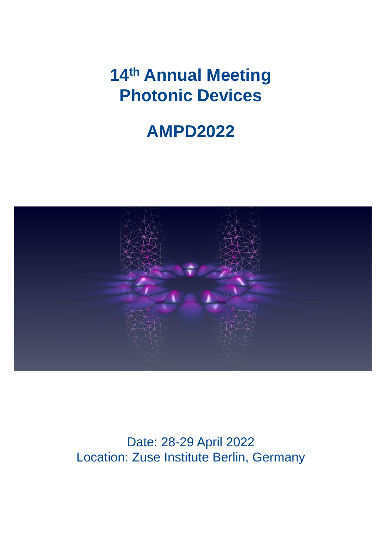# **14th Annual Meeting Photonic Devices**

# **AMPD2022**



Date: 28-29 April 2022 Location: Zuse Institute Berlin, Germany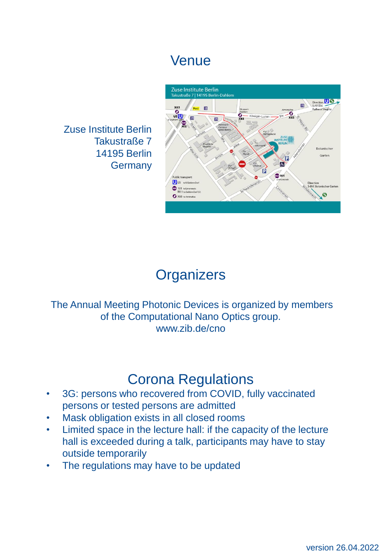## Venue

Zuse Institute Berlin Takustraße 7 14195 Berlin Germany



## **Organizers**

The Annual Meeting Photonic Devices is organized by members of the Computational Nano Optics group. www.zib.de/cno

### Corona Regulations

- 3G: persons who recovered from COVID, fully vaccinated persons or tested persons are admitted
- Mask obligation exists in all closed rooms
- Limited space in the lecture hall: if the capacity of the lecture hall is exceeded during a talk, participants may have to stay outside temporarily
- The regulations may have to be updated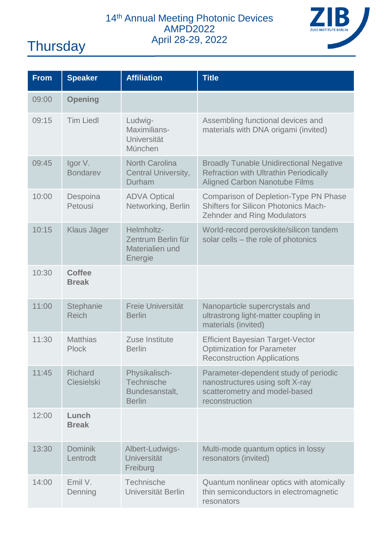### 14<sup>th</sup> Annual Meeting Photonic Devices AMPD2022 April 28-29, 2022 Thursday



| <b>From</b> | <b>Speaker</b>                | <b>Affiliation</b>                                             | <b>Title</b>                                                                                                                            |
|-------------|-------------------------------|----------------------------------------------------------------|-----------------------------------------------------------------------------------------------------------------------------------------|
| 09:00       | <b>Opening</b>                |                                                                |                                                                                                                                         |
| 09:15       | <b>Tim Liedl</b>              | Ludwig-<br>Maximilians-<br>Universität<br>München              | Assembling functional devices and<br>materials with DNA origami (invited)                                                               |
| 09:45       | Igor V.<br><b>Bondarev</b>    | <b>North Carolina</b><br>Central University,<br>Durham         | <b>Broadly Tunable Unidirectional Negative</b><br><b>Refraction with Ultrathin Periodically</b><br><b>Aligned Carbon Nanotube Films</b> |
| 10:00       | Despoina<br>Petousi           | <b>ADVA Optical</b><br>Networking, Berlin                      | Comparison of Depletion-Type PN Phase<br><b>Shifters for Silicon Photonics Mach-</b><br><b>Zehnder and Ring Modulators</b>              |
| 10:15       | Klaus Jäger                   | Helmholtz-<br>Zentrum Berlin für<br>Materialien und<br>Energie | World-record perovskite/silicon tandem<br>solar cells - the role of photonics                                                           |
| 10:30       | <b>Coffee</b><br><b>Break</b> |                                                                |                                                                                                                                         |
| 11:00       | Stephanie<br><b>Reich</b>     | Freie Universität<br><b>Berlin</b>                             | Nanoparticle supercrystals and<br>ultrastrong light-matter coupling in<br>materials (invited)                                           |
| 11:30       | <b>Matthias</b><br>Plock      | Zuse Institute<br><b>Berlin</b>                                | <b>Efficient Bayesian Target-Vector</b><br><b>Optimization for Parameter</b><br><b>Reconstruction Applications</b>                      |
| 11:45       | <b>Richard</b><br>Ciesielski  | Physikalisch-<br>Technische<br>Bundesanstalt,<br><b>Berlin</b> | Parameter-dependent study of periodic<br>nanostructures using soft X-ray<br>scatterometry and model-based<br>reconstruction             |
| 12:00       | Lunch<br><b>Break</b>         |                                                                |                                                                                                                                         |
| 13:30       | <b>Dominik</b><br>Lentrodt    | Albert-Ludwigs-<br><b>Universität</b><br>Freiburg              | Multi-mode quantum optics in lossy<br>resonators (invited)                                                                              |
| 14:00       | Emil V.<br>Denning            | Technische<br>Universität Berlin                               | Quantum nonlinear optics with atomically<br>thin semiconductors in electromagnetic<br>resonators                                        |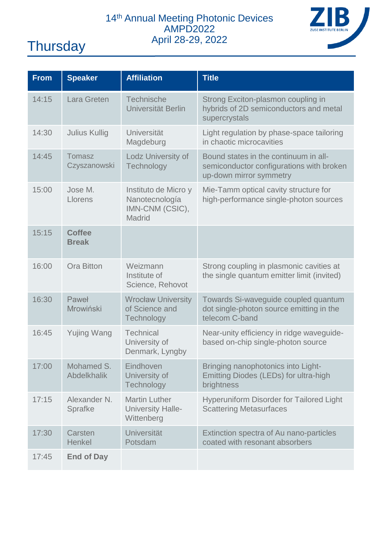

| <b>From</b> | <b>Speaker</b>                | <b>Affiliation</b>                                                  | <b>Title</b>                                                                                                 |
|-------------|-------------------------------|---------------------------------------------------------------------|--------------------------------------------------------------------------------------------------------------|
| 14:15       | Lara Greten                   | Technische<br>Universität Berlin                                    | Strong Exciton-plasmon coupling in<br>hybrids of 2D semiconductors and metal<br>supercrystals                |
| 14:30       | Julius Kullig                 | Universität<br>Magdeburg                                            | Light regulation by phase-space tailoring<br>in chaotic microcavities                                        |
| 14:45       | Tomasz<br>Czyszanowski        | Lodz University of<br>Technology                                    | Bound states in the continuum in all-<br>semiconductor configurations with broken<br>up-down mirror symmetry |
| 15:00       | Jose M.<br>Llorens            | Instituto de Micro y<br>Nanotecnología<br>IMN-CNM (CSIC),<br>Madrid | Mie-Tamm optical cavity structure for<br>high-performance single-photon sources                              |
| 15:15       | <b>Coffee</b><br><b>Break</b> |                                                                     |                                                                                                              |
| 16:00       | <b>Ora Bitton</b>             | Weizmann<br>Institute of<br>Science, Rehovot                        | Strong coupling in plasmonic cavities at<br>the single quantum emitter limit (invited)                       |
| 16:30       | Paweł<br>Mrowiński            | <b>Wrocław University</b><br>of Science and<br>Technology           | Towards Si-waveguide coupled quantum<br>dot single-photon source emitting in the<br>telecom C-band           |
| 16:45       | <b>Yujing Wang</b>            | Technical<br>University of<br>Denmark, Lyngby                       | Near-unity efficiency in ridge waveguide-<br>based on-chip single-photon source                              |
| 17:00       | Mohamed S.<br>Abdelkhalik     | Eindhoven<br>University of<br>Technology                            | Bringing nanophotonics into Light-<br>Emitting Diodes (LEDs) for ultra-high<br>brightness                    |
| 17:15       | Alexander N.<br>Sprafke       | <b>Martin Luther</b><br>University Halle-<br>Wittenberg             | Hyperuniform Disorder for Tailored Light<br><b>Scattering Metasurfaces</b>                                   |
| 17:30       | Carsten<br>Henkel             | Universität<br>Potsdam                                              | Extinction spectra of Au nano-particles<br>coated with resonant absorbers                                    |
| 17:45       | <b>End of Day</b>             |                                                                     |                                                                                                              |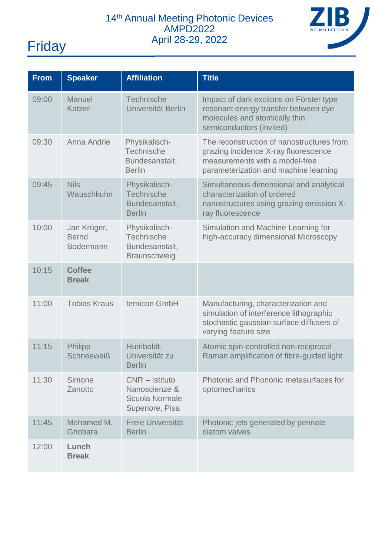

| <b>From</b> | <b>Speaker</b>                                  | <b>Affiliation</b>                                                   | <b>Title</b>                                                                                                                                                 |
|-------------|-------------------------------------------------|----------------------------------------------------------------------|--------------------------------------------------------------------------------------------------------------------------------------------------------------|
| 09:00       | Manuel<br>Katzer                                | Technische<br>Universität Berlin                                     | Impact of dark excitons on Förster type<br>resonant energy transfer between dye<br>molecules and atomically thin<br>semiconductors (invited)                 |
| 09:30       | Anna Andrle                                     | Physikalisch-<br>Technische<br>Bundesanstalt,<br><b>Berlin</b>       | The reconstruction of nanostructures from<br>grazing incidence X-ray fluorescence<br>measurements with a model-free<br>parameterization and machine learning |
| 09:45       | <b>Nils</b><br>Wauschkuhn                       | Physikalisch-<br>Technische<br>Bundesanstalt,<br><b>Berlin</b>       | Simultaneous dimensional and analytical<br>characterization of ordered<br>nanostructures using grazing emission X-<br>ray fluorescence                       |
| 10:00       | Jan Krüger,<br><b>Bernd</b><br><b>Bodermann</b> | Physikalisch-<br>Technische<br>Bundesanstalt,<br>Braunschweig        | Simulation and Machine Learning for<br>high-accuracy dimensional Microscopy                                                                                  |
| 10:15       | <b>Coffee</b><br><b>Break</b>                   |                                                                      |                                                                                                                                                              |
| 11:00       | <b>Tobias Kraus</b>                             | temicon GmbH                                                         | Manufacturing, characterization and<br>simulation of interference lithographic<br>stochastic gaussian surface diffusers of<br>varying feature size           |
| 11:15       | Philipp<br><b>Schneeweiß</b>                    | Humboldt-<br>Universität zu<br><b>Berlin</b>                         | Atomic spin-controlled non-reciprocal<br>Raman amplification of fibre-guided light                                                                           |
| 11:30       | Simone<br>Zanotto                               | CNR - Istituto<br>Nanoscienze &<br>Scuola Normale<br>Superiore, Pisa | Photonic and Phononic metasurfaces for<br>optomechanics                                                                                                      |
| 11:45       | Mohamed M.<br>Ghobara                           | Freie Universität<br><b>Berlin</b>                                   | Photonic jets generated by pennate<br>diatom valves                                                                                                          |
| 12:00       | Lunch<br><b>Break</b>                           |                                                                      |                                                                                                                                                              |